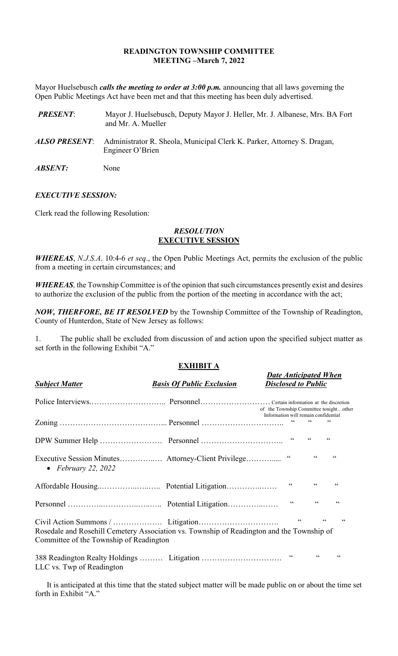### **READINGTON TOWNSHIP COMMITTEE MEETING –March 7, 2022**

Mayor Huelsebusch *calls the meeting to order at 3:00 p.m.* announcing that all laws governing the Open Public Meetings Act have been met and that this meeting has been duly advertised.

| <b>PRESENT:</b>       | Mayor J. Huelsebusch, Deputy Mayor J. Heller, Mr. J. Albanese, Mrs. BA Fort<br>and Mr. A. Mueller |
|-----------------------|---------------------------------------------------------------------------------------------------|
| ALSO PRESENT:         | Administrator R. Sheola, Municipal Clerk K. Parker, Attorney S. Dragan,<br>Engineer O'Brien       |
| <i><b>ABSENT:</b></i> | None                                                                                              |

### *EXECUTIVE SESSION:*

Clerk read the following Resolution:

### *RESOLUTION* **EXECUTIVE SESSION**

*WHEREAS*, *N.J.S.A*. 10:4-6 *et seq*., the Open Public Meetings Act, permits the exclusion of the public from a meeting in certain circumstances; and

*WHEREAS,* the Township Committee is of the opinion that such circumstances presently exist and desires to authorize the exclusion of the public from the portion of the meeting in accordance with the act;

*NOW, THERFORE, BE IT RESOLVED* by the Township Committee of the Township of Readington, County of Hunterdon, State of New Jersey as follows:

1. The public shall be excluded from discussion of and action upon the specified subject matter as set forth in the following Exhibit "A."

## **EXHIBIT A**

*Date Anticipated When*

| <b>Subject Matter</b>                   | <b>Basis Of Public Exclusion</b>                                                          | <b>Disclosed to Public</b>                                                     |                          |                                   |
|-----------------------------------------|-------------------------------------------------------------------------------------------|--------------------------------------------------------------------------------|--------------------------|-----------------------------------|
|                                         |                                                                                           | of the Township Committee tonightother<br>Information will remain confidential |                          |                                   |
|                                         |                                                                                           | $\textsf{G}\,\textsf{G}$                                                       | $\zeta\,\zeta$           | $\textsf{G}\,\textsf{G}$          |
|                                         |                                                                                           |                                                                                | $\zeta \zeta$            | $\zeta$ $\zeta$                   |
| • February 22, 2022                     |                                                                                           | $\textsf{G}\,\textsf{G}$                                                       | $\zeta$ $\zeta$          | $\zeta \zeta$                     |
|                                         |                                                                                           | $\textsf{G}\,\textsf{G}$                                                       | $\textsf{G}\,\textsf{G}$ | $\zeta \, \zeta$                  |
|                                         |                                                                                           | $\zeta \zeta$                                                                  | $\zeta$ $\zeta$          | $\zeta \zeta$                     |
| Committee of the Township of Readington | Rosedale and Rosehill Cemetery Association vs. Township of Readington and the Township of | $\zeta \, \zeta$                                                               |                          | $\zeta \, \zeta$<br>$\zeta \zeta$ |
| LLC vs. Twp of Readington               | 388 Readington Realty Holdings  Litigation                                                | 66                                                                             | $\mbox{\bf G}$           | 66                                |

It is anticipated at this time that the stated subject matter will be made public on or about the time set forth in Exhibit "A."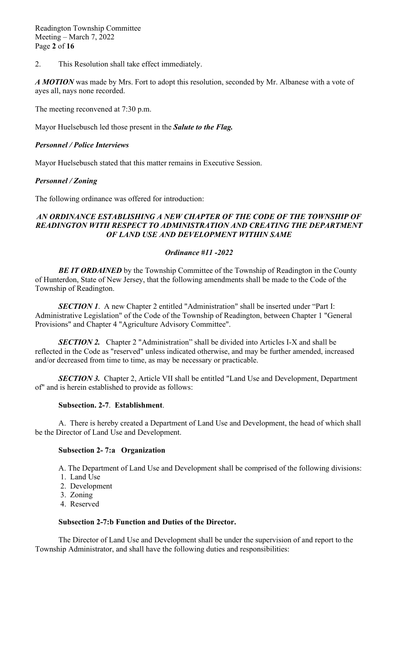2. This Resolution shall take effect immediately.

*A MOTION* was made by Mrs. Fort to adopt this resolution, seconded by Mr. Albanese with a vote of ayes all, nays none recorded.

The meeting reconvened at 7:30 p.m.

Mayor Huelsebusch led those present in the *Salute to the Flag.*

### *Personnel / Police Interviews*

Mayor Huelsebusch stated that this matter remains in Executive Session.

### *Personnel / Zoning*

The following ordinance was offered for introduction:

### AN ORDINANCE ESTABLISHING A NEW CHAPTER OF THE CODE OF THE TOWNSHIP OF *READINGTON WITH RESPECT TO ADMINISTRATION AND CREATING THE DEPARTMENT OF LAND USE AND DEVELOPMENT WITHIN SAME*

### *Ordinance #11 -2022*

**BE IT ORDAINED** by the Township Committee of the Township of Readington in the County of Hunterdon, State of New Jersey, that the following amendments shall be made to the Code of the Township of Readington.

*SECTION 1.* A new Chapter 2 entitled "Administration" shall be inserted under "Part I: Administrative Legislation" of the Code of the Township of Readington, between Chapter 1 "General Provisions" and Chapter 4 "Agriculture Advisory Committee".

**SECTION 2.** Chapter 2 "Administration" shall be divided into Articles I-X and shall be reflected in the Code as "reserved" unless indicated otherwise, and may be further amended, increased and/or decreased from time to time, as may be necessary or practicable.

*SECTION 3.* Chapter 2, Article VII shall be entitled "Land Use and Development, Department of" and is herein established to provide as follows:

### **Subsection. 2-7**. **Establishment**.

A. There is hereby created a Department of Land Use and Development, the head of which shall be the Director of Land Use and Development.

#### **Subsection 2- 7:a Organization**

A. The Department of Land Use and Development shall be comprised of the following divisions:

- 1. Land Use
- 2. Development
- 3. Zoning
- 4. Reserved

#### **Subsection 2-7:b Function and Duties of the Director.**

The Director of Land Use and Development shall be under the supervision of and report to the Township Administrator, and shall have the following duties and responsibilities: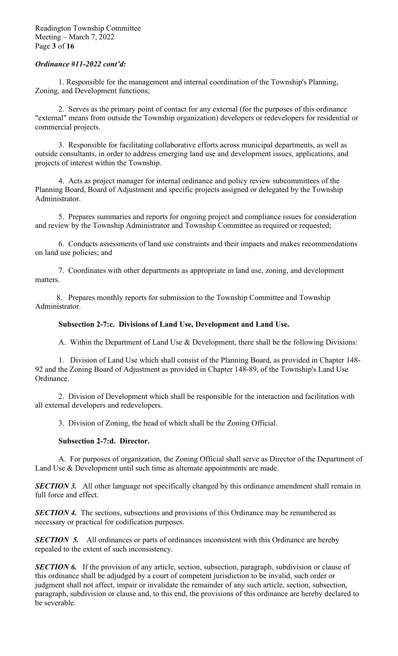## *Ordinance #11-2022 cont'd:*

1. Responsible for the management and internal coordination of the Township's Planning, Zoning, and Development functions;

2. Serves as the primary point of contact for any external (for the purposes of this ordinance "external" means from outside the Township organization) developers or redevelopers for residential or commercial projects.

3. Responsible for facilitating collaborative efforts across municipal departments, as well as outside consultants, in order to address emerging land use and development issues, applications, and projects of interest within the Township.

4. Acts as project manager for internal ordinance and policy review subcommittees of the Planning Board, Board of Adjustment and specific projects assigned or delegated by the Township Administrator.

5. Prepares summaries and reports for ongoing project and compliance issues for consideration and review by the Township Administrator and Township Committee as required or requested;

6. Conducts assessments of land use constraints and their impacts and makes recommendations on land use policies; and

7. Coordinates with other departments as appropriate in land use, zoning, and development matters.

 8. Prepares monthly reports for submission to the Township Committee and Township Administrator.

### **Subsection 2-7:c. Divisions of Land Use, Development and Land Use.**

A. Within the Department of Land Use & Development, there shall be the following Divisions:

1. Division of Land Use which shall consist of the Planning Board, as provided in Chapter 148- 92 and the Zoning Board of Adjustment as provided in Chapter 148-89, of the Township's Land Use Ordinance.

2. Division of Development which shall be responsible for the interaction and facilitation with all external developers and redevelopers.

3. Division of Zoning, the head of which shall be the Zoning Official.

### **Subsection 2-7:d. Director.**

A. For purposes of organization, the Zoning Official shall serve as Director of the Department of Land Use & Development until such time as alternate appointments are made.

**SECTION 3.** All other language not specifically changed by this ordinance amendment shall remain in full force and effect.

*SECTION 4.* The sections, subsections and provisions of this Ordinance may be renumbered as necessary or practical for codification purposes.

**SECTION 5.** All ordinances or parts of ordinances inconsistent with this Ordinance are hereby repealed to the extent of such inconsistency.

*SECTION 6.* If the provision of any article, section, subsection, paragraph, subdivision or clause of this ordinance shall be adjudged by a court of competent jurisdiction to be invalid, such order or judgment shall not affect, impair or invalidate the remainder of any such article, section, subsection, paragraph, subdivision or clause and, to this end, the provisions of this ordinance are hereby declared to be severable.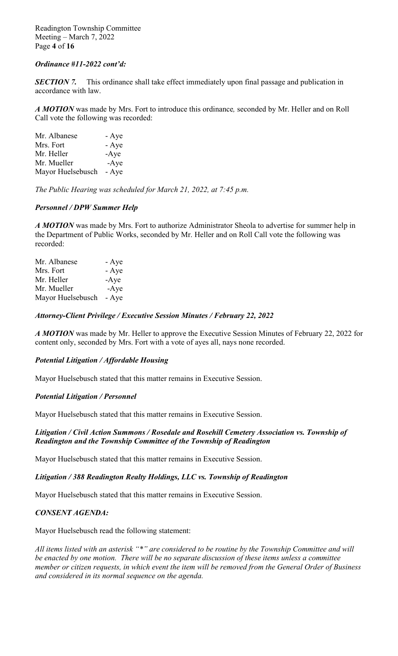Readington Township Committee Meeting – March 7, 2022 Page **4** of **16**

## *Ordinance #11-2022 cont'd:*

*SECTION 7.* This ordinance shall take effect immediately upon final passage and publication in accordance with law.

*A MOTION* was made by Mrs. Fort to introduce this ordinance*,* seconded by Mr. Heller and on Roll Call vote the following was recorded:

| Mr. Albanese      | - Aye  |
|-------------------|--------|
| Mrs. Fort         | - Aye  |
| Mr. Heller        | $-Aye$ |
| Mr. Mueller       | $-Aye$ |
| Mayor Huelsebusch | - Aye  |

*The Public Hearing was scheduled for March 21, 2022, at 7:45 p.m.*

### *Personnel / DPW Summer Help*

*A MOTION* was made by Mrs. Fort to authorize Administrator Sheola to advertise for summer help in the Department of Public Works, seconded by Mr. Heller and on Roll Call vote the following was recorded:

| Mr. Albanese      | - Aye  |
|-------------------|--------|
| Mrs. Fort         | - Aye  |
| Mr. Heller        | $-Aye$ |
| Mr. Mueller       | $-Aye$ |
| Mayor Huelsebusch | - Aye  |

### *Attorney-Client Privilege / Executive Session Minutes / February 22, 2022*

*A MOTION* was made by Mr. Heller to approve the Executive Session Minutes of February 22, 2022 for content only, seconded by Mrs. Fort with a vote of ayes all, nays none recorded.

### *Potential Litigation / Affordable Housing*

Mayor Huelsebusch stated that this matter remains in Executive Session.

### *Potential Litigation / Personnel*

Mayor Huelsebusch stated that this matter remains in Executive Session.

### *Litigation / Civil Action Summons / Rosedale and Rosehill Cemetery Association vs. Township of Readington and the Township Committee of the Township of Readington*

Mayor Huelsebusch stated that this matter remains in Executive Session.

### *Litigation / 388 Readington Realty Holdings, LLC vs. Township of Readington*

Mayor Huelsebusch stated that this matter remains in Executive Session.

### *CONSENT AGENDA:*

Mayor Huelsebusch read the following statement:

*All items listed with an asterisk "\*" are considered to be routine by the Township Committee and will be enacted by one motion. There will be no separate discussion of these items unless a committee member or citizen requests, in which event the item will be removed from the General Order of Business and considered in its normal sequence on the agenda.*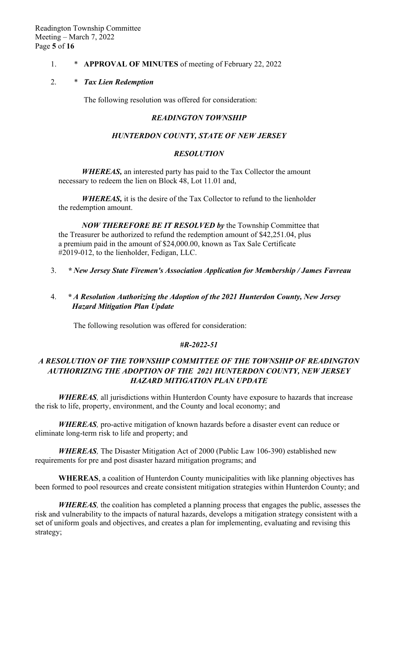## 1. \* **APPROVAL OF MINUTES** of meeting of February 22, 2022

### 2. \* *Tax Lien Redemption*

The following resolution was offered for consideration:

#### *READINGTON TOWNSHIP*

#### *HUNTERDON COUNTY, STATE OF NEW JERSEY*

#### *RESOLUTION*

*WHEREAS,* an interested party has paid to the Tax Collector the amount necessary to redeem the lien on Block 48, Lot 11.01 and,

*WHEREAS,* it is the desire of the Tax Collector to refund to the lienholder the redemption amount.

*NOW THEREFORE BE IT RESOLVED by* the Township Committee that the Treasurer be authorized to refund the redemption amount of \$42,251.04, plus a premium paid in the amount of \$24,000.00, known as Tax Sale Certificate #2019-012, to the lienholder, Fedigan, LLC.

- 3. *\* New Jersey State Firemen's Association Application for Membership / James Favreau*
- 4. *\* A Resolution Authorizing the Adoption of the 2021 Hunterdon County, New Jersey Hazard Mitigation Plan Update*

The following resolution was offered for consideration:

### *#R-2022-51*

## *A RESOLUTION OF THE TOWNSHIP COMMITTEE OF THE TOWNSHIP OF READINGTON AUTHORIZING THE ADOPTION OF THE 2021 HUNTERDON COUNTY, NEW JERSEY HAZARD MITIGATION PLAN UPDATE*

*WHEREAS,* all jurisdictions within Hunterdon County have exposure to hazards that increase the risk to life, property, environment, and the County and local economy; and

*WHEREAS,* pro-active mitigation of known hazards before a disaster event can reduce or eliminate long-term risk to life and property; and

*WHEREAS,* The Disaster Mitigation Act of 2000 (Public Law 106-390) established new requirements for pre and post disaster hazard mitigation programs; and

**WHEREAS**, a coalition of Hunterdon County municipalities with like planning objectives has been formed to pool resources and create consistent mitigation strategies within Hunterdon County; and

*WHEREAS,* the coalition has completed a planning process that engages the public, assesses the risk and vulnerability to the impacts of natural hazards, develops a mitigation strategy consistent with a set of uniform goals and objectives, and creates a plan for implementing, evaluating and revising this strategy;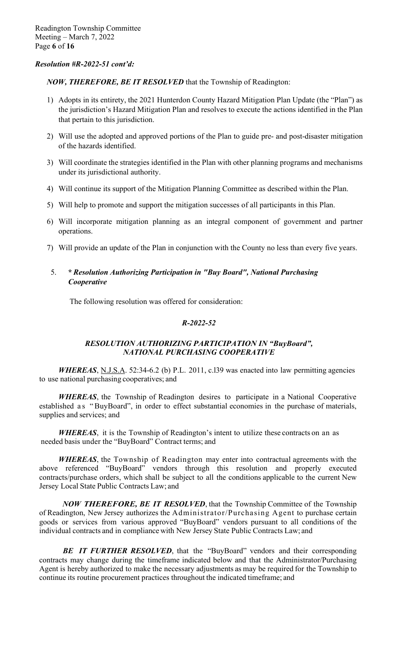## *Resolution #R-2022-51 cont'd:*

*NOW, THEREFORE, BE IT RESOLVED* that the Township of Readington:

- 1) Adopts in its entirety, the 2021 Hunterdon County Hazard Mitigation Plan Update (the "Plan") as the jurisdiction's Hazard Mitigation Plan and resolves to execute the actions identified in the Plan that pertain to this jurisdiction.
- 2) Will use the adopted and approved portions of the Plan to guide pre- and post-disaster mitigation of the hazards identified.
- 3) Will coordinate the strategies identified in the Plan with other planning programs and mechanisms under its jurisdictional authority.
- 4) Will continue its support of the Mitigation Planning Committee as described within the Plan.
- 5) Will help to promote and support the mitigation successes of all participants in this Plan.
- 6) Will incorporate mitigation planning as an integral component of government and partner operations.
- 7) Will provide an update of the Plan in conjunction with the County no less than every five years.

## 5. *\* Resolution Authorizing Participation in "Buy Board", National Purchasing Cooperative*

The following resolution was offered for consideration:

## *R-2022-52*

## *RESOLUTION AUTHORIZING PARTICIPATION IN "BuyBoard", NATIONAL PURCHASING COOPERATIVE*

*WHEREAS*, N.J.S.A. 52:34-6.2 (b) P.L. 2011, c.139 was enacted into law permitting agencies to use national purchasing cooperatives; and

*WHEREAS*, the Township of Readington desires to participate in a National Cooperative established as "BuyBoard", in order to effect substantial economies in the purchase of materials, supplies and services; and

*WHEREAS*, it is the Township of Readington's intent to utilize these contracts on an as needed basis under the "BuyBoard" Contract terms; and

*WHEREAS*, the Township of Readington may enter into contractual agreements with the above referenced "BuyBoard" vendors through this resolution and properly executed contracts/purchase orders, which shall be subject to all the conditions applicable to the current New Jersey Local State Public Contracts Law; and

*NOW THEREFORE, BE IT RESOLVED*, that the Township Committee of the Township of Readington, New Jersey authorizes the Administrator/Purchasing Agent to purchase certain goods or services from various approved "BuyBoard" vendors pursuant to all conditions of the individual contracts and in compliance with New Jersey State Public Contracts Law; and

*BE IT FURTHER RESOLVED*, that the "BuyBoard" vendors and their corresponding contracts may change during the timeframe indicated below and that the Administrator/Purchasing Agent is hereby authorized to make the necessary adjustments as may be required for the Township to continue its routine procurement practices throughout the indicated timeframe; and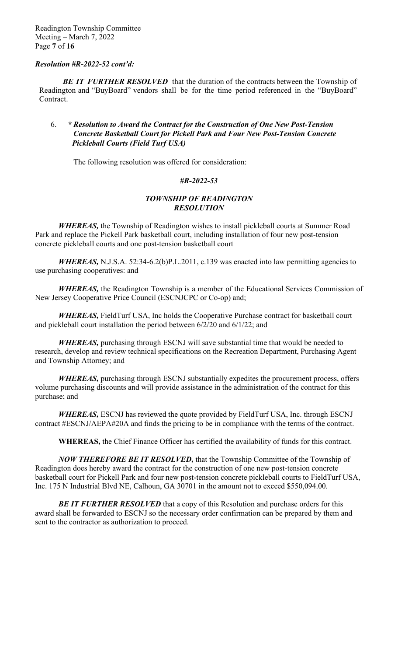### *Resolution #R-2022-52 cont'd:*

**BE IT FURTHER RESOLVED** that the duration of the contracts between the Township of Readington and "BuyBoard" vendors shall be for the time period referenced in the "BuyBoard" Contract.

## 6. *\* Resolution to Award the Contract for the Construction of One New Post-Tension Concrete Basketball Court for Pickell Park and Four New Post-Tension Concrete Pickleball Courts (Field Turf USA)*

The following resolution was offered for consideration:

## *#R-2022-53*

### *TOWNSHIP OF READINGTON RESOLUTION*

*WHEREAS,* the Township of Readington wishes to install pickleball courts at Summer Road Park and replace the Pickell Park basketball court, including installation of four new post-tension concrete pickleball courts and one post-tension basketball court

*WHEREAS,* N.J.S.A. 52:34-6.2(b)P.L.2011, c.139 was enacted into law permitting agencies to use purchasing cooperatives: and

*WHEREAS,* the Readington Township is a member of the Educational Services Commission of New Jersey Cooperative Price Council (ESCNJCPC or Co-op) and;

*WHEREAS,* FieldTurf USA, Inc holds the Cooperative Purchase contract for basketball court and pickleball court installation the period between 6/2/20 and 6/1/22; and

*WHEREAS,* purchasing through ESCNJ will save substantial time that would be needed to research, develop and review technical specifications on the Recreation Department, Purchasing Agent and Township Attorney; and

*WHEREAS,* purchasing through ESCNJ substantially expedites the procurement process, offers volume purchasing discounts and will provide assistance in the administration of the contract for this purchase; and

*WHEREAS,* ESCNJ has reviewed the quote provided by FieldTurf USA, Inc. through ESCNJ contract #ESCNJ/AEPA#20A and finds the pricing to be in compliance with the terms of the contract.

**WHEREAS,** the Chief Finance Officer has certified the availability of funds for this contract.

*NOW THEREFORE BE IT RESOLVED,* that the Township Committee of the Township of Readington does hereby award the contract for the construction of one new post-tension concrete basketball court for Pickell Park and four new post-tension concrete pickleball courts to FieldTurf USA, Inc. 175 N Industrial Blvd NE, Calhoun, GA 30701 in the amount not to exceed \$550,094.00.

**BE IT FURTHER RESOLVED** that a copy of this Resolution and purchase orders for this award shall be forwarded to ESCNJ so the necessary order confirmation can be prepared by them and sent to the contractor as authorization to proceed.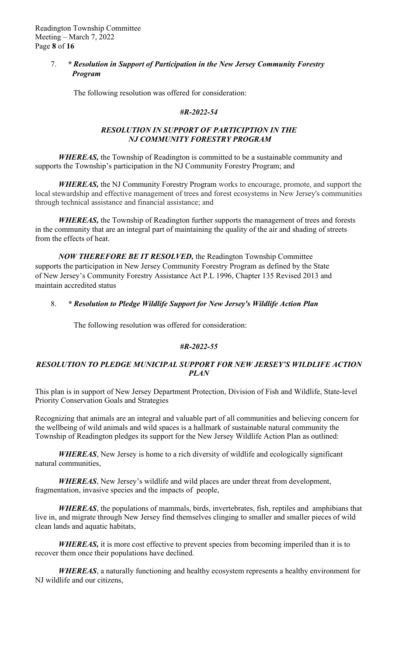## 7. *\* Resolution in Support of Participation in the New Jersey Community Forestry Program*

The following resolution was offered for consideration:

## *#R-2022-54*

## *RESOLUTION IN SUPPORT OF PARTICIPTION IN THE NJ COMMUNITY FORESTRY PROGRAM*

*WHEREAS,* the Township of Readington is committed to be a sustainable community and supports the Township's participation in the NJ Community Forestry Program; and

*WHEREAS,* the NJ Community Forestry Program works to encourage, promote, and support the local stewardship and effective management of trees and forest ecosystems in New Jersey's communities through technical assistance and financial assistance; and

*WHEREAS,* the Township of Readington further supports the management of trees and forests in the community that are an integral part of maintaining the quality of the air and shading of streets from the effects of heat.

*NOW THEREFORE BE IT RESOLVED,* the Readington Township Committee supports the participation in New Jersey Community Forestry Program as defined by the State of New Jersey's Community Forestry Assistance Act P.L 1996, Chapter 135 Revised 2013 and maintain accredited status

## 8. *\* Resolution to Pledge Wildlife Support for New Jersey's Wildlife Action Plan*

The following resolution was offered for consideration:

## *#R-2022-55*

## *RESOLUTION TO PLEDGE MUNICIPAL SUPPORT FOR NEW JERSEY'S WILDLIFE ACTION PLAN*

This plan is in support of New Jersey Department Protection, Division of Fish and Wildlife, State-level Priority Conservation Goals and Strategies

Recognizing that animals are an integral and valuable part of all communities and believing concern for the wellbeing of wild animals and wild spaces is a hallmark of sustainable natural community the Township of Readington pledges its support for the New Jersey Wildlife Action Plan as outlined:

*WHEREAS*, New Jersey is home to a rich diversity of wildlife and ecologically significant natural communities,

*WHEREAS*, New Jersey's wildlife and wild places are under threat from development, fragmentation, invasive species and the impacts of people,

*WHEREAS*, the populations of mammals, birds, invertebrates, fish, reptiles and amphibians that live in, and migrate through New Jersey find themselves clinging to smaller and smaller pieces of wild clean lands and aquatic habitats,

*WHEREAS,* it is more cost effective to prevent species from becoming imperiled than it is to recover them once their populations have declined.

*WHEREAS*, a naturally functioning and healthy ecosystem represents a healthy environment for NJ wildlife and our citizens,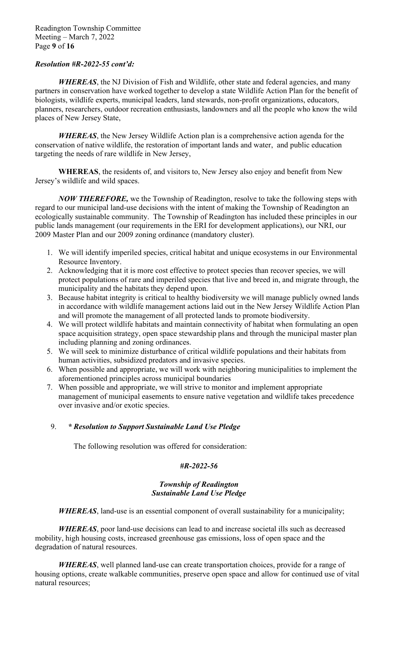## *Resolution #R-2022-55 cont'd:*

*WHEREAS*, the NJ Division of Fish and Wildlife, other state and federal agencies, and many partners in conservation have worked together to develop a state Wildlife Action Plan for the benefit of biologists, wildlife experts, municipal leaders, land stewards, non-profit organizations, educators, planners, researchers, outdoor recreation enthusiasts, landowners and all the people who know the wild places of New Jersey State,

*WHEREAS*, the New Jersey Wildlife Action plan is a comprehensive action agenda for the conservation of native wildlife, the restoration of important lands and water, and public education targeting the needs of rare wildlife in New Jersey,

**WHEREAS**, the residents of, and visitors to, New Jersey also enjoy and benefit from New Jersey's wildlife and wild spaces.

*NOW THEREFORE,* we the Township of Readington, resolve to take the following steps with regard to our municipal land-use decisions with the intent of making the Township of Readington an ecologically sustainable community. The Township of Readington has included these principles in our public lands management (our requirements in the ERI for development applications), our NRI, our 2009 Master Plan and our 2009 zoning ordinance (mandatory cluster).

- 1. We will identify imperiled species, critical habitat and unique ecosystems in our Environmental Resource Inventory.
- 2. Acknowledging that it is more cost effective to protect species than recover species, we will protect populations of rare and imperiled species that live and breed in, and migrate through, the municipality and the habitats they depend upon.
- 3. Because habitat integrity is critical to healthy biodiversity we will manage publicly owned lands in accordance with wildlife management actions laid out in the New Jersey Wildlife Action Plan and will promote the management of all protected lands to promote biodiversity.
- 4. We will protect wildlife habitats and maintain connectivity of habitat when formulating an open space acquisition strategy, open space stewardship plans and through the municipal master plan including planning and zoning ordinances.
- 5. We will seek to minimize disturbance of critical wildlife populations and their habitats from human activities, subsidized predators and invasive species.
- 6. When possible and appropriate, we will work with neighboring municipalities to implement the aforementioned principles across municipal boundaries
- 7. When possible and appropriate, we will strive to monitor and implement appropriate management of municipal easements to ensure native vegetation and wildlife takes precedence over invasive and/or exotic species.

## 9. *\* Resolution to Support Sustainable Land Use Pledge*

The following resolution was offered for consideration:

## *#R-2022-56*

## *Township of Readington Sustainable Land Use Pledge*

*WHEREAS*, land-use is an essential component of overall sustainability for a municipality;

*WHEREAS*, poor land-use decisions can lead to and increase societal ills such as decreased mobility, high housing costs, increased greenhouse gas emissions, loss of open space and the degradation of natural resources.

*WHEREAS*, well planned land-use can create transportation choices, provide for a range of housing options, create walkable communities, preserve open space and allow for continued use of vital natural resources;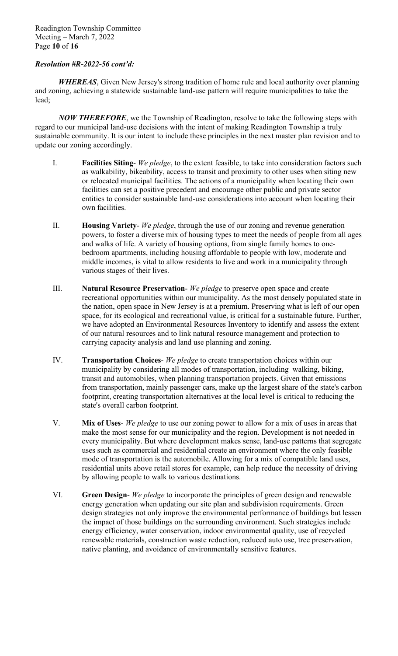Readington Township Committee Meeting – March 7, 2022 Page **10** of **16**

## *Resolution #R-2022-56 cont'd:*

*WHEREAS*, Given New Jersey's strong tradition of home rule and local authority over planning and zoning, achieving a statewide sustainable land-use pattern will require municipalities to take the lead;

*NOW THEREFORE*, we the Township of Readington, resolve to take the following steps with regard to our municipal land-use decisions with the intent of making Readington Township a truly sustainable community. It is our intent to include these principles in the next master plan revision and to update our zoning accordingly.

- I. **Facilities Siting** *We pledge*, to the extent feasible, to take into consideration factors such as walkability, bikeability, access to transit and proximity to other uses when siting new or relocated municipal facilities. The actions of a municipality when locating their own facilities can set a positive precedent and encourage other public and private sector entities to consider sustainable land-use considerations into account when locating their own facilities.
- II. **Housing Variety** *We pledge*, through the use of our zoning and revenue generation powers, to foster a diverse mix of housing types to meet the needs of people from all ages and walks of life. A variety of housing options, from single family homes to onebedroom apartments, including housing affordable to people with low, moderate and middle incomes, is vital to allow residents to live and work in a municipality through various stages of their lives.
- III. **Natural Resource Preservation** *We pledge* to preserve open space and create recreational opportunities within our municipality. As the most densely populated state in the nation, open space in New Jersey is at a premium. Preserving what is left of our open space, for its ecological and recreational value, is critical for a sustainable future. Further, we have adopted an Environmental Resources Inventory to identify and assess the extent of our natural resources and to link natural resource management and protection to carrying capacity analysis and land use planning and zoning.
- IV. **Transportation Choices** *We pledge* to create transportation choices within our municipality by considering all modes of transportation, including walking, biking, transit and automobiles, when planning transportation projects. Given that emissions from transportation, mainly passenger cars, make up the largest share of the state's carbon footprint, creating transportation alternatives at the local level is critical to reducing the state's overall carbon footprint.
- V. **Mix of Uses** *We pledge* to use our zoning power to allow for a mix of uses in areas that make the most sense for our municipality and the region. Development is not needed in every municipality. But where development makes sense, land-use patterns that segregate uses such as commercial and residential create an environment where the only feasible mode of transportation is the automobile. Allowing for a mix of compatible land uses, residential units above retail stores for example, can help reduce the necessity of driving by allowing people to walk to various destinations.
- VI. **Green Design** *We pledge* to incorporate the principles of green design and renewable energy generation when updating our site plan and subdivision requirements. Green design strategies not only improve the environmental performance of buildings but lessen the impact of those buildings on the surrounding environment. Such strategies include energy efficiency, water conservation, indoor environmental quality, use of recycled renewable materials, construction waste reduction, reduced auto use, tree preservation, native planting, and avoidance of environmentally sensitive features.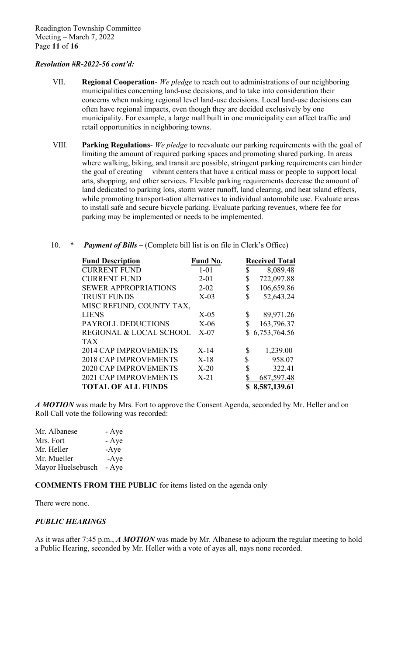## *Resolution #R-2022-56 cont'd:*

- VII. **Regional Cooperation** *We pledge* to reach out to administrations of our neighboring municipalities concerning land-use decisions, and to take into consideration their concerns when making regional level land-use decisions. Local land-use decisions can often have regional impacts, even though they are decided exclusively by one municipality. For example, a large mall built in one municipality can affect traffic and retail opportunities in neighboring towns.
- VIII. **Parking Regulations** *We pledge* to reevaluate our parking requirements with the goal of limiting the amount of required parking spaces and promoting shared parking. In areas where walking, biking, and transit are possible, stringent parking requirements can hinder the goal of creating vibrant centers that have a critical mass or people to support local arts, shopping, and other services. Flexible parking requirements decrease the amount of land dedicated to parking lots, storm water runoff, land clearing, and heat island effects, while promoting transport-ation alternatives to individual automobile use. Evaluate areas to install safe and secure bicycle parking. Evaluate parking revenues, where fee for parking may be implemented or needs to be implemented.
- 10. \* *Payment of Bills –* (Complete bill list is on file in Clerk's Office)

| <b>Fund Description</b>      | <b>Fund No.</b> | <b>Received Total</b> |
|------------------------------|-----------------|-----------------------|
| <b>CURRENT FUND</b>          | $1 - 01$        | \$<br>8,089.48        |
| <b>CURRENT FUND</b>          | $2 - 01$        | \$<br>722,097.88      |
| <b>SEWER APPROPRIATIONS</b>  | $2 - 02$        | 106,659.86            |
| <b>TRUST FUNDS</b>           | $X-03$          | \$<br>52,643.24       |
| MISC REFUND, COUNTY TAX,     |                 |                       |
| <b>LIENS</b>                 | $X-05$          | \$<br>89,971.26       |
| PAYROLL DEDUCTIONS           | $X-06$          | 163,796.37            |
| REGIONAL & LOCAL SCHOOL      | $X-07$          | \$6,753,764.56        |
| <b>TAX</b>                   |                 |                       |
| <b>2014 CAP IMPROVEMENTS</b> | $X-14$          | \$<br>1,239.00        |
| <b>2018 CAP IMPROVEMENTS</b> | $X-18$          | \$<br>958.07          |
| <b>2020 CAP IMPROVEMENTS</b> | $X-20$          | \$<br>322.41          |
| <b>2021 CAP IMPROVEMENTS</b> | $X-21$          | 687,597.48            |
| <b>TOTAL OF ALL FUNDS</b>    |                 | \$8,587,139.61        |

*A MOTION* was made by Mrs. Fort to approve the Consent Agenda, seconded by Mr. Heller and on Roll Call vote the following was recorded:

Mr. Albanese - Aye Mrs. Fort - Aye Mr. Heller -Aye Mr. Mueller -Aye Mayor Huelsebusch - Aye

**COMMENTS FROM THE PUBLIC** for items listed on the agenda only

There were none.

### *PUBLIC HEARINGS*

As it was after 7:45 p.m., *A MOTION* was made by Mr. Albanese to adjourn the regular meeting to hold a Public Hearing, seconded by Mr. Heller with a vote of ayes all, nays none recorded.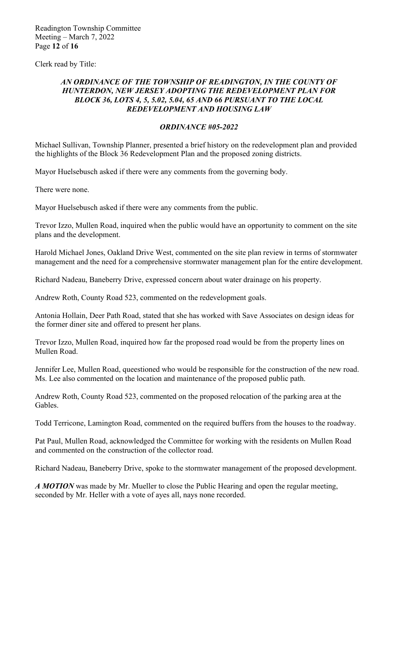Clerk read by Title:

### AN ORDINANCE OF THE TOWNSHIP OF READINGTON, IN THE COUNTY OF *HUNTERDON, NEW JERSEY ADOPTING THE REDEVELOPMENT PLAN FOR BLOCK 36, LOTS 4, 5, 5.02, 5.04, 65 AND 66 PURSUANT TO THE LOCAL REDEVELOPMENT AND HOUSING LAW*

### *ORDINANCE #05-2022*

Michael Sullivan, Township Planner, presented a brief history on the redevelopment plan and provided the highlights of the Block 36 Redevelopment Plan and the proposed zoning districts.

Mayor Huelsebusch asked if there were any comments from the governing body.

There were none.

Mayor Huelsebusch asked if there were any comments from the public.

Trevor Izzo, Mullen Road, inquired when the public would have an opportunity to comment on the site plans and the development.

Harold Michael Jones, Oakland Drive West, commented on the site plan review in terms of stormwater management and the need for a comprehensive stormwater management plan for the entire development.

Richard Nadeau, Baneberry Drive, expressed concern about water drainage on his property.

Andrew Roth, County Road 523, commented on the redevelopment goals.

Antonia Hollain, Deer Path Road, stated that she has worked with Save Associates on design ideas for the former diner site and offered to present her plans.

Trevor Izzo, Mullen Road, inquired how far the proposed road would be from the property lines on Mullen Road.

Jennifer Lee, Mullen Road, queestioned who would be responsible for the construction of the new road. Ms. Lee also commented on the location and maintenance of the proposed public path.

Andrew Roth, County Road 523, commented on the proposed relocation of the parking area at the Gables.

Todd Terricone, Lamington Road, commented on the required buffers from the houses to the roadway.

Pat Paul, Mullen Road, acknowledged the Committee for working with the residents on Mullen Road and commented on the construction of the collector road.

Richard Nadeau, Baneberry Drive, spoke to the stormwater management of the proposed development.

*A MOTION* was made by Mr. Mueller to close the Public Hearing and open the regular meeting, seconded by Mr. Heller with a vote of ayes all, nays none recorded.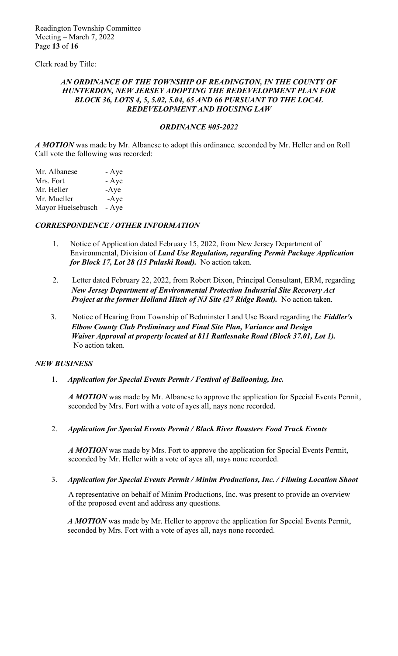Clerk read by Title:

### AN ORDINANCE OF THE TOWNSHIP OF READINGTON, IN THE COUNTY OF *HUNTERDON, NEW JERSEY ADOPTING THE REDEVELOPMENT PLAN FOR BLOCK 36, LOTS 4, 5, 5.02, 5.04, 65 AND 66 PURSUANT TO THE LOCAL REDEVELOPMENT AND HOUSING LAW*

### *ORDINANCE #05-2022*

*A MOTION* was made by Mr. Albanese to adopt this ordinance*,* seconded by Mr. Heller and on Roll Call vote the following was recorded:

| Mr. Albanese      | - Aye  |
|-------------------|--------|
| Mrs. Fort         | - Aye  |
| Mr. Heller        | $-Aye$ |
| Mr. Mueller       | $-Aye$ |
| Mayor Huelsebusch | - Aye  |

## *CORRESPONDENCE / OTHER INFORMATION*

- 1. Notice of Application dated February 15, 2022, from New Jersey Department of Environmental, Division of *Land Use Regulation, regarding Permit Package Application for Block 17, Lot 28 (15 Pulaski Road).* No action taken.
- 2. Letter dated February 22, 2022, from Robert Dixon, Principal Consultant, ERM, regarding  *New Jersey Department of Environmental Protection Industrial Site Recovery Act Project at the former Holland Hitch of NJ Site (27 Ridge Road).* No action taken.
- 3. Notice of Hearing from Township of Bedminster Land Use Board regarding the *Fiddler's Elbow County Club Preliminary and Final Site Plan, Variance and Design Waiver Approval at property located at 811 Rattlesnake Road (Block 37.01, Lot 1).*  No action taken.

### *NEW BUSINESS*

1. *Application for Special Events Permit / Festival of Ballooning, Inc.* 

*A MOTION* was made by Mr. Albanese to approve the application for Special Events Permit, seconded by Mrs. Fort with a vote of ayes all, nays none recorded.

2. *Application for Special Events Permit / Black River Roasters Food Truck Events* 

*A MOTION* was made by Mrs. Fort to approve the application for Special Events Permit, seconded by Mr. Heller with a vote of ayes all, nays none recorded.

3. *Application for Special Events Permit / Minim Productions, Inc. / Filming Location Shoot* 

 A representative on behalf of Minim Productions, Inc. was present to provide an overview of the proposed event and address any questions.

*A MOTION* was made by Mr. Heller to approve the application for Special Events Permit, seconded by Mrs. Fort with a vote of ayes all, nays none recorded.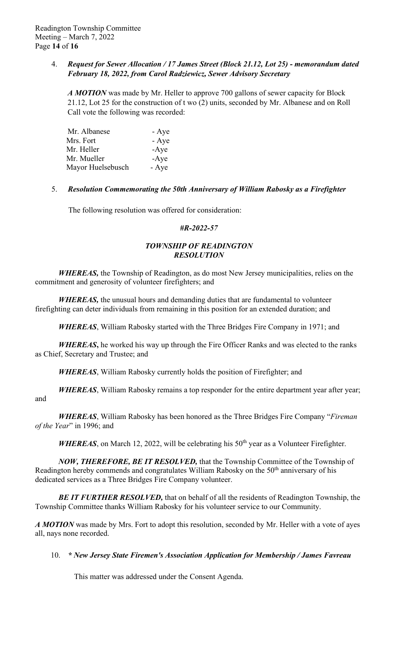## 4. *Request for Sewer Allocation / 17 James Street (Block 21.12, Lot 25) - memorandum dated February 18, 2022, from Carol Radziewicz, Sewer Advisory Secretary*

*A MOTION* was made by Mr. Heller to approve 700 gallons of sewer capacity for Block 21.12, Lot 25 for the construction of t wo (2) units, seconded by Mr. Albanese and on Roll Call vote the following was recorded:

| Mr. Albanese      | - Aye  |
|-------------------|--------|
| Mrs. Fort         | - Aye  |
| Mr. Heller        | $-Aye$ |
| Mr. Mueller       | $-Aye$ |
| Mayor Huelsebusch | - Aye  |

## 5. *Resolution Commemorating the 50th Anniversary of William Rabosky as a Firefighter*

The following resolution was offered for consideration:

## *#R-2022-57*

# *TOWNSHIP OF READINGTON RESOLUTION*

*WHEREAS,* the Township of Readington, as do most New Jersey municipalities, relies on the commitment and generosity of volunteer firefighters; and

*WHEREAS,* the unusual hours and demanding duties that are fundamental to volunteer firefighting can deter individuals from remaining in this position for an extended duration; and

*WHEREAS*, William Rabosky started with the Three Bridges Fire Company in 1971; and

*WHEREAS***,** he worked his way up through the Fire Officer Ranks and was elected to the ranks as Chief, Secretary and Trustee; and

*WHEREAS*, William Rabosky currently holds the position of Firefighter; and

*WHEREAS*, William Rabosky remains a top responder for the entire department year after year; and

*WHEREAS*, William Rabosky has been honored as the Three Bridges Fire Company "*Fireman of the Year*" in 1996; and

*WHEREAS*, on March 12, 2022, will be celebrating his 50<sup>th</sup> year as a Volunteer Firefighter.

*NOW, THEREFORE, BE IT RESOLVED,* that the Township Committee of the Township of Readington hereby commends and congratulates William Rabosky on the 50<sup>th</sup> anniversary of his dedicated services as a Three Bridges Fire Company volunteer.

*BE IT FURTHER RESOLVED,* that on behalf of all the residents of Readington Township, the Township Committee thanks William Rabosky for his volunteer service to our Community.

*A MOTION* was made by Mrs. Fort to adopt this resolution, seconded by Mr. Heller with a vote of ayes all, nays none recorded.

## 10. *\* New Jersey State Firemen's Association Application for Membership / James Favreau*

This matter was addressed under the Consent Agenda.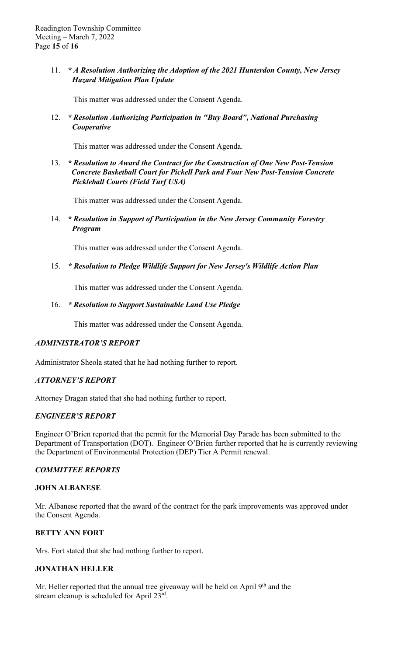## 11. *\* A Resolution Authorizing the Adoption of the 2021 Hunterdon County, New Jersey Hazard Mitigation Plan Update*

This matter was addressed under the Consent Agenda.

## 12. *\* Resolution Authorizing Participation in "Buy Board", National Purchasing Cooperative*

This matter was addressed under the Consent Agenda.

## 13. *\* Resolution to Award the Contract for the Construction of One New Post-Tension Concrete Basketball Court for Pickell Park and Four New Post-Tension Concrete Pickleball Courts (Field Turf USA)*

This matter was addressed under the Consent Agenda.

14. *\* Resolution in Support of Participation in the New Jersey Community Forestry Program*

This matter was addressed under the Consent Agenda.

## 15. *\* Resolution to Pledge Wildlife Support for New Jersey's Wildlife Action Plan*

This matter was addressed under the Consent Agenda.

## 16. *\* Resolution to Support Sustainable Land Use Pledge*

This matter was addressed under the Consent Agenda.

## *ADMINISTRATOR'S REPORT*

Administrator Sheola stated that he had nothing further to report.

## *ATTORNEY'S REPORT*

Attorney Dragan stated that she had nothing further to report.

## *ENGINEER'S REPORT*

Engineer O'Brien reported that the permit for the Memorial Day Parade has been submitted to the Department of Transportation (DOT). Engineer O'Brien further reported that he is currently reviewing the Department of Environmental Protection (DEP) Tier A Permit renewal.

## *COMMITTEE REPORTS*

### **JOHN ALBANESE**

Mr. Albanese reported that the award of the contract for the park improvements was approved under the Consent Agenda.

## **BETTY ANN FORT**

Mrs. Fort stated that she had nothing further to report.

## **JONATHAN HELLER**

Mr. Heller reported that the annual tree giveaway will be held on April 9<sup>th</sup> and the stream cleanup is scheduled for April 23rd.